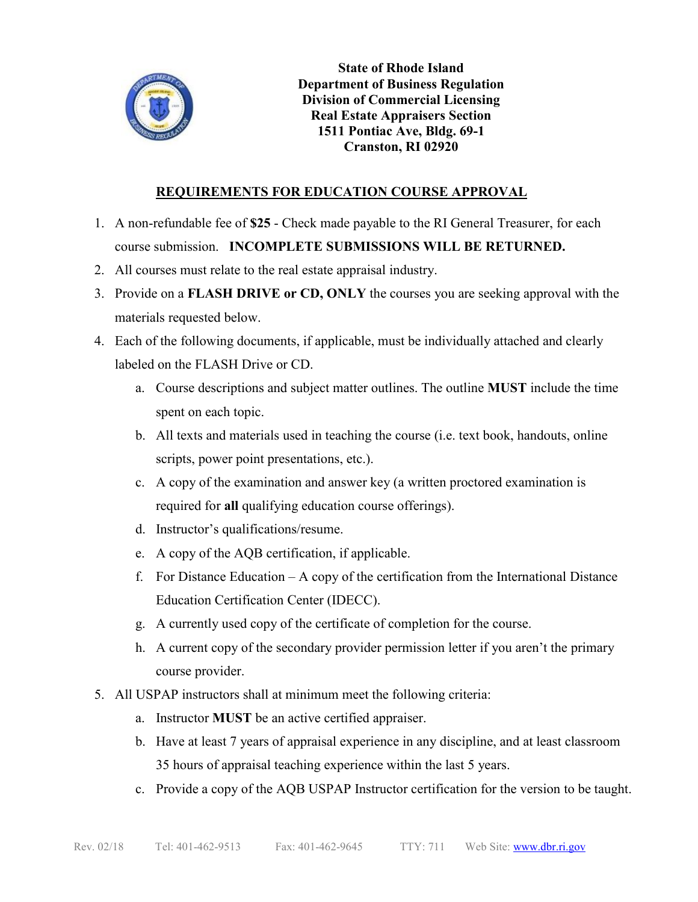

**State of Rhode Island Department of Business Regulation Division of Commercial Licensing Real Estate Appraisers Section 1511 Pontiac Ave, Bldg. 69-1 Cranston, RI 02920**

## **REQUIREMENTS FOR EDUCATION COURSE APPROVAL**

- 1. A non-refundable fee of **\$25** Check made payable to the RI General Treasurer, for each course submission. **INCOMPLETE SUBMISSIONS WILL BE RETURNED.**
- 2. All courses must relate to the real estate appraisal industry.
- 3. Provide on a **FLASH DRIVE or CD, ONLY** the courses you are seeking approval with the materials requested below.
- 4. Each of the following documents, if applicable, must be individually attached and clearly labeled on the FLASH Drive or CD.
	- a. Course descriptions and subject matter outlines. The outline **MUST** include the time spent on each topic.
	- b. All texts and materials used in teaching the course (i.e. text book, handouts, online scripts, power point presentations, etc.).
	- c. A copy of the examination and answer key (a written proctored examination is required for **all** qualifying education course offerings).
	- d. Instructor's qualifications/resume.
	- e. A copy of the AQB certification, if applicable.
	- f. For Distance Education A copy of the certification from the International Distance Education Certification Center (IDECC).
	- g. A currently used copy of the certificate of completion for the course.
	- h. A current copy of the secondary provider permission letter if you aren't the primary course provider.
- 5. All USPAP instructors shall at minimum meet the following criteria:
	- a. Instructor **MUST** be an active certified appraiser.
	- b. Have at least 7 years of appraisal experience in any discipline, and at least classroom 35 hours of appraisal teaching experience within the last 5 years.
	- c. Provide a copy of the AQB USPAP Instructor certification for the version to be taught.